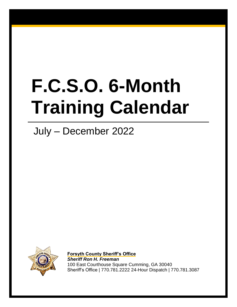# **F.C.S.O. 6-Month Training Calendar**

# July – December 2022



**Forsyth County Sheriff's Office** *Sheriff Ron H. Freeman* 100 East Courthouse Square Cumming, GA 30040 Sheriff's Office | 770.781.2222 24-Hour Dispatch | 770.781.3087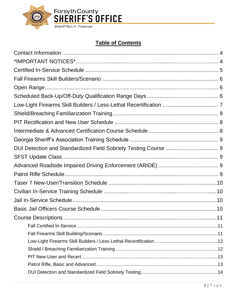

#### **Table of Contents**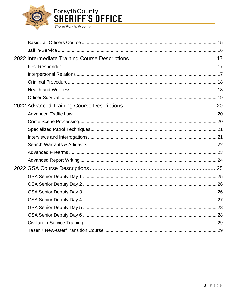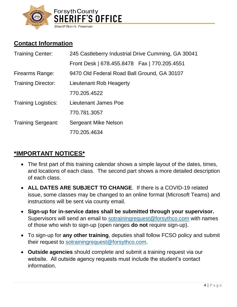

# <span id="page-3-0"></span>**Contact Information**

| <b>Training Center:</b>    | 245 Castleberry Industrial Drive Cumming, GA 30041 |  |  |
|----------------------------|----------------------------------------------------|--|--|
|                            | Front Desk   678.455.8478    Fax   770.205.4551    |  |  |
| Firearms Range:            | 9470 Old Federal Road Ball Ground, GA 30107        |  |  |
| <b>Training Director:</b>  | Lieutenant Rob Heagerty                            |  |  |
|                            | 770.205.4522                                       |  |  |
| <b>Training Logistics:</b> | Lieutenant James Poe                               |  |  |
|                            | 770.781.3057                                       |  |  |
| <b>Training Sergeant:</b>  | <b>Sergeant Mike Nelson</b>                        |  |  |
|                            | 770.205.4634                                       |  |  |

# <span id="page-3-1"></span>**\*IMPORTANT NOTICES\***

- The first part of this training calendar shows a simple layout of the dates, times, and locations of each class. The second part shows a more detailed description of each class.
- **ALL DATES ARE SUBJECT TO CHANGE**. If there is a COVID-19 related issue, some classes may be changed to an online format (Microsoft Teams) and instructions will be sent via county email.
- **Sign-up for in-service dates shall be submitted through your supervisor.** Supervisors will send an email to [sotrainingrequest@forsythco.com](mailto:sotrainingrequest@forsythco.com) with names of those who wish to sign-up (open ranges **do not** require sign-up).
- To sign-up for **any other training**, deputies shall follow FCSO policy and submit their request to [sotrainingrequest@forsythco.com.](mailto:sotrainingrequest@forsythco.com)
- **Outside agencies** should complete and submit a training request via our website. All outside agency requests must include the student's contact information.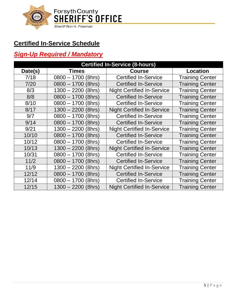

# <span id="page-4-0"></span>**Certified In-Service Schedule**

#### *Sign-Up Required / Mandatory*

| <b>Certified In-Service (8-hours)</b> |                      |                                   |                        |
|---------------------------------------|----------------------|-----------------------------------|------------------------|
| Date(s)                               | <b>Times</b>         | <b>Course</b>                     | <b>Location</b>        |
| 7/18                                  | $0800 - 1700$ (8hrs) | <b>Certified In-Service</b>       | <b>Training Center</b> |
| 7/20                                  | $0800 - 1700$ (8hrs) | <b>Certified In-Service</b>       | <b>Training Center</b> |
| 8/3                                   | $1300 - 2200$ (8hrs) | <b>Night Certified In-Service</b> | <b>Training Center</b> |
| 8/8                                   | $0800 - 1700$ (8hrs) | <b>Certified In-Service</b>       | <b>Training Center</b> |
| 8/10                                  | $0800 - 1700$ (8hrs) | <b>Certified In-Service</b>       | <b>Training Center</b> |
| 8/17                                  | 1300 – 2200 (8hrs)   | <b>Night Certified In-Service</b> | <b>Training Center</b> |
| 9/7                                   | $0800 - 1700$ (8hrs) | <b>Certified In-Service</b>       | <b>Training Center</b> |
| 9/14                                  | $0800 - 1700$ (8hrs) | <b>Certified In-Service</b>       | <b>Training Center</b> |
| 9/21                                  | $1300 - 2200$ (8hrs) | <b>Night Certified In-Service</b> | <b>Training Center</b> |
| 10/10                                 | $0800 - 1700$ (8hrs) | <b>Certified In-Service</b>       | <b>Training Center</b> |
| 10/12                                 | $0800 - 1700$ (8hrs) | <b>Certified In-Service</b>       | <b>Training Center</b> |
| 10/13                                 | 1300 - 2200 (8hrs)   | <b>Night Certified In-Service</b> | <b>Training Center</b> |
| 10/31                                 | $0800 - 1700$ (8hrs) | <b>Certified In-Service</b>       | <b>Training Center</b> |
| 11/2                                  | $0800 - 1700$ (8hrs) | <b>Certified In-Service</b>       | <b>Training Center</b> |
| 11/9                                  | $1300 - 2200$ (8hrs) | <b>Night Certified In-Service</b> | <b>Training Center</b> |
| 12/12                                 | $0800 - 1700$ (8hrs) | <b>Certified In-Service</b>       | <b>Training Center</b> |
| 12/14                                 | $0800 - 1700$ (8hrs) | <b>Certified In-Service</b>       | <b>Training Center</b> |
| 12/15                                 | $1300 - 2200$ (8hrs) | <b>Night Certified In-Service</b> | <b>Training Center</b> |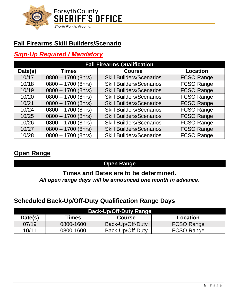

# <span id="page-5-0"></span>**Fall Firearms Skill Builders/Scenario**

#### *Sign-Up Required / Mandatory*

| <b>Fall Firearms Qualification</b> |                               |                                 |                   |
|------------------------------------|-------------------------------|---------------------------------|-------------------|
| Date(s)                            | <b>Times</b><br><b>Course</b> |                                 |                   |
| 10/17                              | $0800 - 1700$ (8hrs)          | <b>Skill Builders/Scenarios</b> | <b>FCSO Range</b> |
| 10/18                              | $0800 - 1700$ (8hrs)          | <b>Skill Builders/Scenarios</b> | <b>FCSO Range</b> |
| 10/19                              | $0800 - 1700$ (8hrs)          | <b>Skill Builders/Scenarios</b> | <b>FCSO Range</b> |
| 10/20                              | $0800 - 1700$ (8hrs)          | <b>Skill Builders/Scenarios</b> | <b>FCSO Range</b> |
| 10/21                              | $0800 - 1700$ (8hrs)          | <b>Skill Builders/Scenarios</b> | <b>FCSO Range</b> |
| 10/24                              | $0800 - 1700$ (8hrs)          | <b>Skill Builders/Scenarios</b> | <b>FCSO Range</b> |
| 10/25                              | $0800 - 1700$ (8hrs)          | <b>Skill Builders/Scenarios</b> | <b>FCSO Range</b> |
| 10/26                              | $0800 - 1700$ (8hrs)          | <b>Skill Builders/Scenarios</b> | <b>FCSO Range</b> |
| 10/27                              | $0800 - 1700$ (8hrs)          | <b>Skill Builders/Scenarios</b> | <b>FCSO Range</b> |
| 10/28                              | $0800 - 1700$ (8hrs)          | <b>Skill Builders/Scenarios</b> | <b>FCSO Range</b> |

#### <span id="page-5-1"></span>**Open Range**

#### **Open Range**

#### **Times and Dates are to be determined.**

*All open range days will be announced one month in advance***.**

#### <span id="page-5-2"></span>**Scheduled Back-Up/Off-Duty Qualification Range Days**

| <b>Back-Up/Off-Duty Range</b> |                                    |                  |                   |  |  |
|-------------------------------|------------------------------------|------------------|-------------------|--|--|
| Date(s)                       | Times<br><b>Course</b><br>Location |                  |                   |  |  |
| 07/19                         | 0800-1600                          | Back-Up/Off-Duty | <b>FCSO Range</b> |  |  |
| 10/11                         | 0800-1600                          | Back-Up/Off-Duty | <b>FCSO Range</b> |  |  |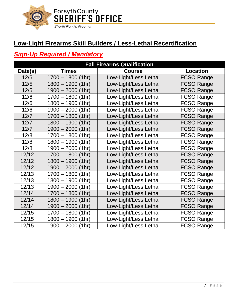

# <span id="page-6-0"></span>**Low-Light Firearms Skill Builders / Less-Lethal Recertification**

#### *Sign-Up Required / Mandatory*

|         | <b>Fall Firearms Qualification</b>               |                       |                   |  |  |
|---------|--------------------------------------------------|-----------------------|-------------------|--|--|
| Date(s) | <b>Times</b><br><b>Course</b><br><b>Location</b> |                       |                   |  |  |
| 12/5    | $1700 - 1800$ (1hr)                              | Low-Light/Less Lethal | <b>FCSO Range</b> |  |  |
| 12/5    | $1800 - 1900$<br>(1hr)                           | Low-Light/Less Lethal | <b>FCSO Range</b> |  |  |
| $12/5$  | $1900 - 2000$<br>(1hr)                           | Low-Light/Less Lethal | <b>FCSO Range</b> |  |  |
| 12/6    | $1700 - 1800$<br>(1hr)                           | Low-Light/Less Lethal | <b>FCSO Range</b> |  |  |
| 12/6    | $1800 - 1900$<br>(1hr)                           | Low-Light/Less Lethal | <b>FCSO Range</b> |  |  |
| 12/6    | $1900 - 2000$<br>(1hr)                           | Low-Light/Less Lethal | <b>FCSO Range</b> |  |  |
| 12/7    | $1700 - 1800$<br>(1hr)                           | Low-Light/Less Lethal | <b>FCSO Range</b> |  |  |
| 12/7    | $1800 - 1900$<br>(1hr)                           | Low-Light/Less Lethal | <b>FCSO Range</b> |  |  |
| 12/7    | $1900 - 2000$<br>(1hr)                           | Low-Light/Less Lethal | <b>FCSO Range</b> |  |  |
| 12/8    | $1700 - 1800$<br>(1hr)                           | Low-Light/Less Lethal | <b>FCSO Range</b> |  |  |
| 12/8    | $1800 - 1900$<br>(1hr)                           | Low-Light/Less Lethal | <b>FCSO Range</b> |  |  |
| 12/8    | $1900 - 2000$ (1hr)                              | Low-Light/Less Lethal | <b>FCSO Range</b> |  |  |
| 12/12   | $1700 - 1800$<br>(1hr)                           | Low-Light/Less Lethal | <b>FCSO Range</b> |  |  |
| 12/12   | $1800 - 1900$<br>(1hr)                           | Low-Light/Less Lethal | <b>FCSO Range</b> |  |  |
| 12/12   | $1900 - 2000$ (1hr)                              | Low-Light/Less Lethal | <b>FCSO Range</b> |  |  |
| 12/13   | (1hr)<br>$1700 - 1800$                           | Low-Light/Less Lethal | <b>FCSO Range</b> |  |  |
| 12/13   | (1hr)<br>$1800 - 1900$                           | Low-Light/Less Lethal | <b>FCSO Range</b> |  |  |
| 12/13   | $1900 - 2000$<br>(1hr)                           | Low-Light/Less Lethal | <b>FCSO Range</b> |  |  |
| 12/14   | $1700 - 1800$<br>(1hr)                           | Low-Light/Less Lethal | <b>FCSO Range</b> |  |  |
| 12/14   | $1800 - 1900$<br>(1hr)                           | Low-Light/Less Lethal | <b>FCSO Range</b> |  |  |
| 12/14   | $1900 - 2000$<br>(1hr)                           | Low-Light/Less Lethal | <b>FCSO Range</b> |  |  |
| 12/15   | $1700 - 1800$<br>(1hr)                           | Low-Light/Less Lethal | <b>FCSO Range</b> |  |  |
| 12/15   | (1hr)<br>1800 - 1900                             | Low-Light/Less Lethal | <b>FCSO Range</b> |  |  |
| 12/15   | $1900 - 2000$ (1hr)                              | Low-Light/Less Lethal | <b>FCSO Range</b> |  |  |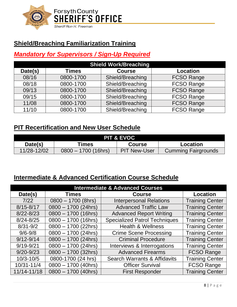

# <span id="page-7-0"></span>**Shield/Breaching Familiarization Training**

#### *Mandatory for Supervisors / Sign-Up Required*

| <b>Shield Work/Breaching</b> |              |                  |                   |
|------------------------------|--------------|------------------|-------------------|
| Date(s)                      | <b>Times</b> | <b>Course</b>    | <b>Location</b>   |
| 08/16                        | 0800-1700    | Shield/Breaching | <b>FCSO Range</b> |
| 08/18                        | 0800-1700    | Shield/Breaching | <b>FCSO Range</b> |
| 09/13                        | 0800-1700    | Shield/Breaching | <b>FCSO Range</b> |
| 09/15                        | 0800-1700    | Shield/Breaching | <b>FCSO Range</b> |
| 11/08                        | 0800-1700    | Shield/Breaching | <b>FCSO Range</b> |
| 11/10                        | 0800-1700    | Shield/Breaching | <b>FCSO Range</b> |

#### <span id="page-7-1"></span>**PIT Recertification and New User Schedule**

| <b>PIT &amp; EVOC</b>                       |                       |                     |                            |  |
|---------------------------------------------|-----------------------|---------------------|----------------------------|--|
| Date(s)<br>™es<br>Location<br><b>Course</b> |                       |                     |                            |  |
| 11/28-12/02                                 | $0800 - 1700$ (16hrs) | <b>PIT New-User</b> | <b>Cumming Fairgrounds</b> |  |

#### <span id="page-7-2"></span>**Intermediate & Advanced Certification Course Schedule**

| <b>Intermediate &amp; Advanced Courses</b> |                       |                                         |                        |
|--------------------------------------------|-----------------------|-----------------------------------------|------------------------|
| Date(s)                                    | <b>Times</b>          | <b>Course</b>                           | Location               |
| 7/22                                       | $0800 - 1700$ (8hrs)  | <b>Interpersonal Relations</b>          | <b>Training Center</b> |
| $8/15 - 8/17$                              | $0800 - 1700$ (24hrs) | <b>Advanced Traffic Law</b>             | <b>Training Center</b> |
| $8/22 - 8/23$                              | $0800 - 1700$ (16hrs) | <b>Advanced Report Writing</b>          | <b>Training Center</b> |
| $8/24 - 8/25$                              | $0800 - 1700$ (16hrs) | <b>Specialized Patrol Techniques</b>    | <b>Training Center</b> |
| $8/31 - 9/2$                               | $0800 - 1700$ (22hrs) | <b>Health &amp; Wellness</b>            | <b>Training Center</b> |
| $9/6 - 9/8$                                | $0800 - 1700$ (24hrs) | <b>Crime Scene Processing</b>           | <b>Training Center</b> |
| $9/12 - 9/14$                              | $0800 - 1700$ (24hrs) | <b>Criminal Procedure</b>               | <b>Training Center</b> |
| $9/19 - 9/21$                              | $0800 - 1700$ (24hrs) | Interviews & Interrogations             | <b>Training Center</b> |
| $9/20 - 9/23$                              | $0800 - 1700$ (32hrs) | <b>Advanced Firearms</b>                | <b>FCSO Range</b>      |
| $10/3 - 10/5$                              | 0800-1700 (24 hrs)    | <b>Search Warrants &amp; Affidavits</b> | <b>Training Center</b> |
| 10/31-11/4                                 | $0800 - 1700$ (40hrs) | <b>Officer Survival</b>                 | <b>FCSO Range</b>      |
| 11/14-11/18                                | $0800 - 1700$ (40hrs) | <b>First Responder</b>                  | <b>Training Center</b> |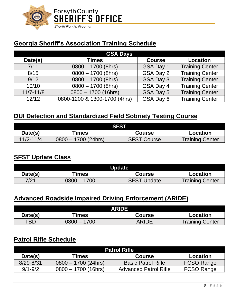

# <span id="page-8-0"></span>**Georgia Sheriff's Association Training Schedule**

| <b>GSA Days</b> |                              |               |                        |  |
|-----------------|------------------------------|---------------|------------------------|--|
| Date(s)         | <b>Times</b>                 | <b>Course</b> | <b>Location</b>        |  |
| 7/11            | $0800 - 1700$ (8hrs)         | GSA Day 1     | <b>Training Center</b> |  |
| 8/15            | $0800 - 1700$ (8hrs)         | GSA Day 2     | <b>Training Center</b> |  |
| 9/12            | $0800 - 1700$ (8hrs)         | GSA Day 3     | <b>Training Center</b> |  |
| 10/10           | $0800 - 1700$ (8hrs)         | GSA Day 4     | <b>Training Center</b> |  |
| $11/7 - 11/8$   | $0800 - 1700$ (16hrs)        | GSA Day 5     | <b>Training Center</b> |  |
| 12/12           | 0800-1200 & 1300-1700 (4hrs) | GSA Day 6     | <b>Training Center</b> |  |

#### <span id="page-8-1"></span>**DUI Detection and Standardized Field Sobriety Testing Course**

| <b>SFST</b>   |                       |                    |                        |
|---------------|-----------------------|--------------------|------------------------|
| Date(s)       | ™es                   | Course             | Location               |
| $11/2 - 11/4$ | $0800 - 1700$ (24hrs) | <b>SFST Course</b> | <b>Training Center</b> |

#### <span id="page-8-2"></span>**SFST Update Class**

| <b>Update</b> |               |                    |                 |
|---------------|---------------|--------------------|-----------------|
| Date(s)       | Times         | Course             | Location        |
| 7/21          | $0800 - 1700$ | <b>SFST Update</b> | Training Center |

#### <span id="page-8-3"></span>**Advanced Roadside Impaired Driving Enforcement (ARIDE)**

| ARIDE      |              |        |                        |
|------------|--------------|--------|------------------------|
| Date(s)    | <b>Times</b> | Course | Location               |
| <b>TBD</b> | 1700         | ARIDE  | <b>Training Center</b> |

#### <span id="page-8-4"></span>**Patrol Rifle Schedule**

| <b>Patrol Rifle</b> |                                    |                              |                   |  |
|---------------------|------------------------------------|------------------------------|-------------------|--|
| Date(s)             | Times<br><b>Course</b><br>Location |                              |                   |  |
| $8/29 - 8/31$       | $0800 - 1700$ (24hrs)              | <b>Basic Patrol Rifle</b>    | <b>FCSO Range</b> |  |
| $9/1 - 9/2$         | $0800 - 1700$ (16hrs)              | <b>Advanced Patrol Rifle</b> | FCSO Range        |  |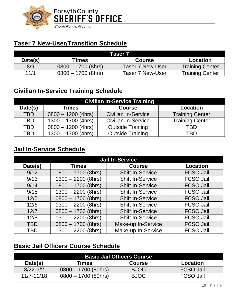

# <span id="page-9-0"></span>**Taser 7 New-User/Transition Schedule**

| Taser 7 |                      |                  |                 |
|---------|----------------------|------------------|-----------------|
| Date(s) | Times                | <b>Course</b>    | Location        |
| 8/9     | $0800 - 1700$ (8hrs) | Taser 7 New-User | Training Center |
| 11/1    | $0800 - 1700$ (8hrs) | Taser 7 New-User | Training Center |

# <span id="page-9-1"></span>**Civilian In-Service Training Schedule**

| <b>Civilian In-Service Training</b> |                                                  |                            |                        |
|-------------------------------------|--------------------------------------------------|----------------------------|------------------------|
| Date(s)                             | <b>Times</b><br><b>Course</b><br><b>Location</b> |                            |                        |
| <b>TBD</b>                          | $0800 - 1200$ (4hrs)                             | <b>Civilian In-Service</b> | <b>Training Center</b> |
| <b>TBD</b>                          | $1300 - 1700$ (4hrs)                             | <b>Civilian In-Service</b> | <b>Training Center</b> |
| <b>TBD</b>                          | $0800 - 1200$ (4hrs)                             | <b>Outside Training</b>    | TBD                    |
| TBD                                 | $1300 - 1700$ (4hrs)                             | <b>Outside Training</b>    | TBD                    |

#### <span id="page-9-2"></span>**Jail In-Service Schedule**

| <b>Jail In-Service</b> |                      |                         |                  |
|------------------------|----------------------|-------------------------|------------------|
| Date(s)                | <b>Times</b>         | <b>Course</b>           | <b>Location</b>  |
| 9/12                   | $0800 - 1700$ (8hrs) | <b>Shift In-Service</b> | <b>FCSO Jail</b> |
| 9/13                   | $1300 - 2200$ (8hrs) | <b>Shift In-Service</b> | <b>FCSO Jail</b> |
| 9/14                   | $0800 - 1700$ (8hrs) | <b>Shift In-Service</b> | <b>FCSO Jail</b> |
| 9/15                   | $1300 - 2200$ (8hrs) | <b>Shift In-Service</b> | <b>FCSO Jail</b> |
| $12/5$                 | $0800 - 1700$ (8hrs) | <b>Shift In-Service</b> | <b>FCSO Jail</b> |
| 12/6                   | $1300 - 2200$ (8hrs) | <b>Shift In-Service</b> | <b>FCSO Jail</b> |
| 12/7                   | $0800 - 1700$ (8hrs) | <b>Shift In-Service</b> | <b>FCSO Jail</b> |
| 12/8                   | $1300 - 2200$ (8hrs) | <b>Shift In-Service</b> | <b>FCSO Jail</b> |
| <b>TBD</b>             | $0800 - 1700$ (8hrs) | Make-up In-Service      | <b>FCSO Jail</b> |
| <b>TBD</b>             | $1300 - 2200$ (8hrs) | Make-up In-Service      | <b>FCSO Jail</b> |

#### <span id="page-9-3"></span>**Basic Jail Officers Course Schedule**

| <b>Basic Jail Officers Course</b>             |                       |             |                  |
|-----------------------------------------------|-----------------------|-------------|------------------|
| Date(s)<br>Times<br><b>Course</b><br>Location |                       |             |                  |
| $8/22 - 9/2$                                  | $0800 - 1700$ (80hrs) | <b>BJOC</b> | <b>FCSO Jail</b> |
| $11/7 - 11/18$                                | $0800 - 1700$ (80hrs) | <b>BJOC</b> | <b>FCSO Jail</b> |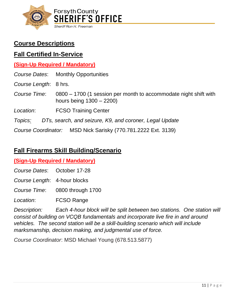

# <span id="page-10-0"></span>**Course Descriptions**

#### <span id="page-10-1"></span>**Fall Certified In-Service**

#### **(Sign-Up Required / Mandatory)**

|                       | Course Dates: Monthly Opportunities                                                           |  |
|-----------------------|-----------------------------------------------------------------------------------------------|--|
| Course Length: 8 hrs. |                                                                                               |  |
| Course Time:          | 0800 - 1700 (1 session per month to accommodate night shift with<br>hours being $1300 - 2200$ |  |
| Location:             | <b>FCSO Training Center</b>                                                                   |  |
| Topics:               | DTs, search, and seizure, K9, and coroner, Legal Update                                       |  |
|                       | Course Coordinator: MSD Nick Sarisky (770.781.2222 Ext. 3139)                                 |  |

#### <span id="page-10-2"></span>**Fall Firearms Skill Building/Scenario**

#### **(Sign-Up Required / Mandatory)**

*Course Dates*: October 17-28

*Course Length*: 4-hour blocks

*Course Time*: 0800 through 1700

*Location*: FCSO Range

*Description: Each 4-hour block will be split between two stations. One station will consist of building on VCQB fundamentals and incorporate live fire in and around vehicles. The second station will be a skill-building scenario which will include marksmanship, decision making, and judgmental use of force.*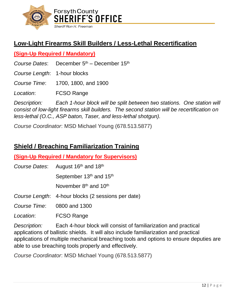

# <span id="page-11-0"></span>**Low-Light Firearms Skill Builders / Less-Lethal Recertification**

#### **(Sign-Up Required / Mandatory)**

*Course Dates*: December  $5<sup>th</sup>$  – December 15<sup>th</sup>

*Course Length*: 1-hour blocks

*Course Time*: 1700, 1800, and 1900

*Location*: FCSO Range

*Description: Each 1-hour block will be split between two stations. One station will consist of low-light firearms skill builders. The second station will be recertification on less-lethal (O.C., ASP baton, Taser, and less-lethal shotgun).*

*Course Coordinator*: MSD Michael Young (678.513.5877)

# <span id="page-11-1"></span>**Shield / Breaching Familiarization Training**

**(Sign-Up Required / Mandatory for Supervisors)**

Course Dates: August 16<sup>th</sup> and 18<sup>th</sup> September 13<sup>th</sup> and 15<sup>th</sup> November 8<sup>th</sup> and 10<sup>th</sup> *Course Length*: 4-hour blocks (2 sessions per date)

*Course Time*: 0800 and 1300

*Location*: FCSO Range

*Description:* Each 4-hour block will consist of familiarization and practical applications of ballistic shields. It will also include familiarization and practical applications of multiple mechanical breaching tools and options to ensure deputies are able to use breaching tools properly and effectively.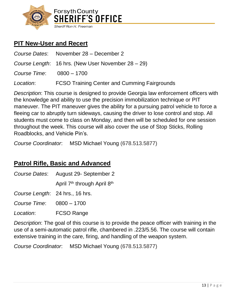

# <span id="page-12-0"></span>**PIT New-User and Recert**

*Course Dates*: November 28 – December 2 *Course Length*: 16 hrs. (New User November 28 – 29) *Course Time*: 0800 – 1700

*Location*: FCSO Training Center and Cumming Fairgrounds

*Description*: This course is designed to provide Georgia law enforcement officers with the knowledge and ability to use the precision immobilization technique or PIT maneuver. The PIT maneuver gives the ability for a pursuing patrol vehicle to force a fleeing car to abruptly turn sideways, causing the driver to lose control and stop. All students must come to class on Monday, and then will be scheduled for one session throughout the week. This course will also cover the use of Stop Sticks, Rolling Roadblocks, and Vehicle Pin's.

*Course Coordinator*: MSD Michael Young (678.513.5877)

#### <span id="page-12-1"></span>**Patrol Rifle, Basic and Advanced**

*Course Dates*: August 29- September 2

April 7<sup>th</sup> through April 8<sup>th</sup>

*Course Length*: 24 hrs., 16 hrs.

*Course Time*: 0800 – 1700

*Location*: FCSO Range

*Description*: The goal of this course is to provide the peace officer with training in the use of a semi-automatic patrol rifle, chambered in .223/5.56. The course will contain extensive training in the care, firing, and handling of the weapon system.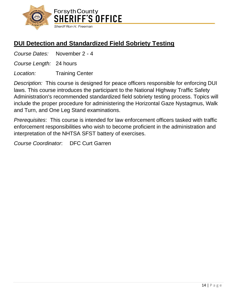

# <span id="page-13-0"></span>**DUI Detection and Standardized Field Sobriety Testing**

*Course Dates:* November 2 - 4

*Course Length:* 24 hours

*Location:* Training Center

*Description:* This course is designed for peace officers responsible for enforcing DUI laws. This course introduces the participant to the National Highway Traffic Safety Administration's recommended standardized field sobriety testing process. Topics will include the proper procedure for administering the Horizontal Gaze Nystagmus, Walk and Turn, and One Leg Stand examinations.

*Prerequisites*: This course is intended for law enforcement officers tasked with traffic enforcement responsibilities who wish to become proficient in the administration and interpretation of the NHTSA SFST battery of exercises.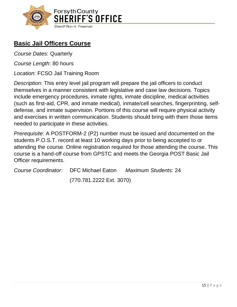

# <span id="page-14-0"></span>**Basic Jail Officers Course**

*Course Dates*: Quarterly

*Course Length*: 80 hours

*Location*: FCSO Jail Training Room

*Description*: This entry level jail program will prepare the jail officers to conduct themselves in a manner consistent with legislative and case law decisions. Topics include emergency procedures, inmate rights, inmate discipline, medical activities (such as first-aid, CPR, and inmate medical), inmate/cell searches, fingerprinting, selfdefense, and inmate supervision. Portions of this course will require physical activity and exercises in written communication. Students should bring with them those items needed to participate in these activities.

*Prerequisite*: A POSTFORM-2 (P2) number must be issued and documented on the students P.O.S.T. record at least 10 working days prior to being accepted to or attending the course. Online registration required for those attending the course. This course is a hand-off course from GPSTC and meets the Georgia POST Basic Jail Officer requirements.

|                          | Course Coordinator. DFC Michael Eaton Maximum Students: 24 |
|--------------------------|------------------------------------------------------------|
| (770.781.2222 Ext. 3070) |                                                            |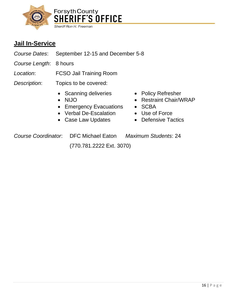

# <span id="page-15-0"></span>**Jail In-Service**

- *Course Dates*: September 12-15 and December 5-8
- *Course Length*: 8 hours
- *Location*: FCSO Jail Training Room
- *Description*: Topics to be covered:
	- Scanning deliveries Policy Refresher
	-
	- Emergency Evacuations SCBA
	- Verbal De-Escalation Use of Force
	- Case Law Updates Defensive Tactics
- - NIJO Restraint Chair/WRAP
		-
		-
		-

*Course Coordinator*: DFC Michael Eaton *Maximum Students*: 24

(770.781.2222 Ext. 3070)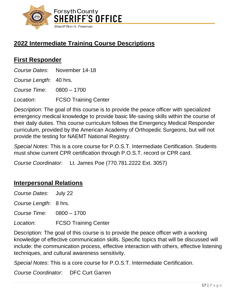

# <span id="page-16-0"></span>**2022 Intermediate Training Course Descriptions**

#### <span id="page-16-1"></span>**First Responder**

*Course Dates*: November 14-18

*Course Length*: 40 hrs.

*Course Time*: 0800 – 1700

*Location*: FCSO Training Center

*Description*: The goal of this course is to provide the peace officer with specialized emergency medical knowledge to provide basic life-saving skills within the course of their daily duties. This course curriculum follows the Emergency Medical Responder curriculum, provided by the American Academy of Orthopedic Surgeons, but will not provide the testing for NAEMT National Registry.

*Special Notes*: This is a core course for P.O.S.T. Intermediate Certification. Students must show current CPR certification through P.O.S.T. record or CPR card.

*Course Coordinator*: Lt. James Poe (770.781.2222 Ext. 3057)

#### <span id="page-16-2"></span>**Interpersonal Relations**

| Course Dates: July 22    |                             |
|--------------------------|-----------------------------|
| Course Length: 8 hrs.    |                             |
| Course Time: 0800 - 1700 |                             |
| Location:                | <b>FCSO Training Center</b> |

Description: The goal of this course is to provide the peace officer with a working knowledge of effective communication skills. Specific topics that will be discussed will include: the communication process, effective interaction with others, effective listening techniques, and cultural awareness sensitivity.

*Special Notes*: This is a core course for P.O.S.T. Intermediate Certification.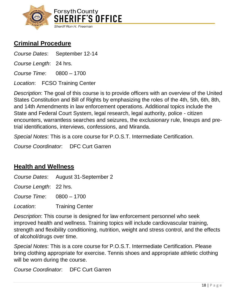

# <span id="page-17-0"></span>**Criminal Procedure**

*Course Dates*: September 12-14

*Course Length*: 24 hrs.

*Course Time*: 0800 – 1700

*Location*: FCSO Training Center

*Description*: The goal of this course is to provide officers with an overview of the United States Constitution and Bill of Rights by emphasizing the roles of the 4th, 5th, 6th, 8th, and 14th Amendments in law enforcement operations. Additional topics include the State and Federal Court System, legal research, legal authority, police - citizen encounters, warrantless searches and seizures, the exclusionary rule, lineups and pretrial identifications, interviews, confessions, and Miranda.

*Special Notes*: This is a core course for P.O.S.T. Intermediate Certification.

*Course Coordinator*: DFC Curt Garren

#### <span id="page-17-1"></span>**Health and Wellness**

*Course Dates*: August 31-September 2

*Course Length*: 22 hrs.

*Course Time*: 0800 – 1700

*Location*: Training Center

*Description*: This course is designed for law enforcement personnel who seek improved health and wellness. Training topics will include cardiovascular training, strength and flexibility conditioning, nutrition, weight and stress control, and the effects of alcohol/drugs over time.

*Special Notes*: This is a core course for P.O.S.T. Intermediate Certification. Please bring clothing appropriate for exercise. Tennis shoes and appropriate athletic clothing will be worn during the course.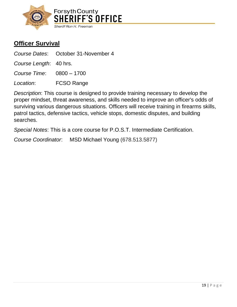

#### <span id="page-18-0"></span>**Officer Survival**

*Course Dates*: October 31-November 4

*Course Length*: 40 hrs.

*Course Time*: 0800 – 1700

*Location*: FCSO Range

*Description*: This course is designed to provide training necessary to develop the proper mindset, threat awareness, and skills needed to improve an officer's odds of surviving various dangerous situations. Officers will receive training in firearms skills, patrol tactics, defensive tactics, vehicle stops, domestic disputes, and building searches.

*Special Notes*: This is a core course for P.O.S.T. Intermediate Certification.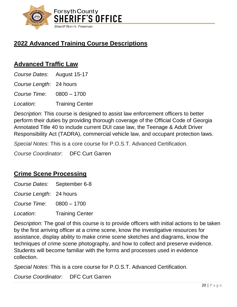

# <span id="page-19-0"></span>**2022 Advanced Training Course Descriptions**

#### <span id="page-19-1"></span>**Advanced Traffic Law**

*Course Dates*: August 15-17

*Course Length*: 24 hours

*Course Time*: 0800 – 1700

*Location*: Training Center

*Description*: This course is designed to assist law enforcement officers to better perform their duties by providing thorough coverage of the Official Code of Georgia Annotated Title 40 to include current DUI case law, the Teenage & Adult Driver Responsibility Act (TADRA), commercial vehicle law, and occupant protection laws.

*Special Notes*: This is a core course for P.O.S.T. Advanced Certification.

*Course Coordinator*: DFC Curt Garren

#### <span id="page-19-2"></span>**Crime Scene Processing**

*Course Dates*: September 6-8

*Course Length*: 24 hours

*Course Time*: 0800 – 1700

*Location*: Training Center

*Description*: The goal of this course is to provide officers with initial actions to be taken by the first arriving officer at a crime scene, know the investigative resources for assistance, display ability to make crime scene sketches and diagrams, know the techniques of crime scene photography, and how to collect and preserve evidence. Students will become familiar with the forms and processes used in evidence collection.

*Special Notes*: This is a core course for P.O.S.T. Advanced Certification.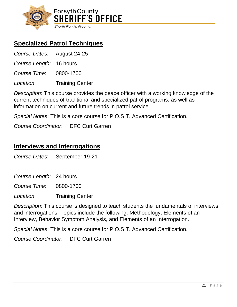

# <span id="page-20-0"></span>**Specialized Patrol Techniques**

| Course Dates: August 24-25 |                        |
|----------------------------|------------------------|
| Course Length: 16 hours    |                        |
| Course Time: 0800-1700     |                        |
| Location:                  | <b>Training Center</b> |

*Description*: This course provides the peace officer with a working knowledge of the current techniques of traditional and specialized patrol programs, as well as information on current and future trends in patrol service.

*Special Notes*: This is a core course for P.O.S.T. Advanced Certification.

*Course Coordinator*: DFC Curt Garren

#### <span id="page-20-1"></span>**Interviews and Interrogations**

*Course Dates*: September 19-21

*Course Length*: 24 hours

*Course Time*: 0800-1700

*Location*: Training Center

*Description*: This course is designed to teach students the fundamentals of interviews and interrogations. Topics include the following: Methodology, Elements of an Interview, Behavior Symptom Analysis, and Elements of an Interrogation.

*Special Notes*: This is a core course for P.O.S.T. Advanced Certification.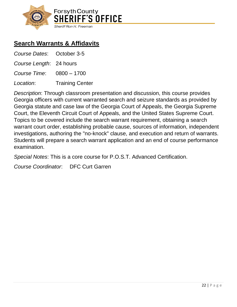

# <span id="page-21-0"></span>**Search Warrants & Affidavits**

| Course Dates: October 3-5 |                        |
|---------------------------|------------------------|
| Course Length: 24 hours   |                        |
| Course Time: 0800 - 1700  |                        |
| Location:                 | <b>Training Center</b> |

*Description*: Through classroom presentation and discussion, this course provides Georgia officers with current warranted search and seizure standards as provided by Georgia statute and case law of the Georgia Court of Appeals, the Georgia Supreme Court, the Eleventh Circuit Court of Appeals, and the United States Supreme Court. Topics to be covered include the search warrant requirement, obtaining a search warrant court order, establishing probable cause, sources of information, independent investigations, authoring the "no-knock" clause, and execution and return of warrants. Students will prepare a search warrant application and an end of course performance examination.

*Special Notes*: This is a core course for P.O.S.T. Advanced Certification.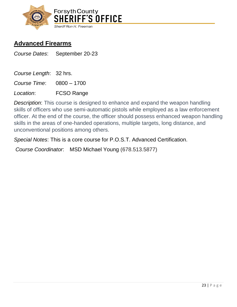

#### <span id="page-22-0"></span>**Advanced Firearms**

*Course Dates*: September 20-23

*Course Length*: 32 hrs.

*Course Time*: 0800 – 1700

*Location*: FCSO Range

*Description*: This course is designed to enhance and expand the weapon handling skills of officers who use semi-automatic pistols while employed as a law enforcement officer. At the end of the course, the officer should possess enhanced weapon handling skills in the areas of one-handed operations, multiple targets, long distance, and unconventional positions among others.

*Special Notes*: This is a core course for P.O.S.T. Advanced Certification.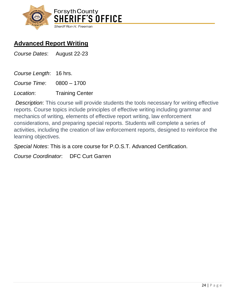

# <span id="page-23-0"></span>**Advanced Report Writing**

*Course Dates*: August 22-23

*Course Length*: 16 hrs.

*Course Time*: 0800 – 1700

*Location*: Training Center

*Description*: This course will provide students the tools necessary for writing effective reports. Course topics include principles of effective writing including grammar and mechanics of writing, elements of effective report writing, law enforcement considerations, and preparing special reports. Students will complete a series of activities, including the creation of law enforcement reports, designed to reinforce the learning objectives.

*Special Notes*: This is a core course for P.O.S.T. Advanced Certification.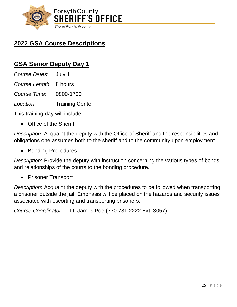

# <span id="page-24-0"></span>**2022 GSA Course Descriptions**

#### <span id="page-24-1"></span>**GSA Senior Deputy Day 1**

*Course Dates*: July 1 *Course Length*: 8 hours *Course Time*: 0800-1700 *Location*: Training Center

This training day will include:

• Office of the Sheriff

*Description*: Acquaint the deputy with the Office of Sheriff and the responsibilities and obligations one assumes both to the sheriff and to the community upon employment.

• Bonding Procedures

*Description*: Provide the deputy with instruction concerning the various types of bonds and relationships of the courts to the bonding procedure.

• Prisoner Transport

*Description*: Acquaint the deputy with the procedures to be followed when transporting a prisoner outside the jail. Emphasis will be placed on the hazards and security issues associated with escorting and transporting prisoners.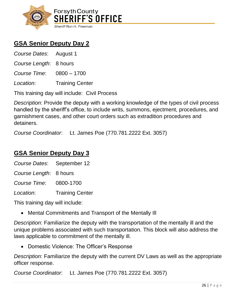

# <span id="page-25-0"></span>**GSA Senior Deputy Day 2**

| Course Dates: August 1   |                        |
|--------------------------|------------------------|
| Course Length: 8 hours   |                        |
| Course Time: 0800 - 1700 |                        |
| Location:                | <b>Training Center</b> |

This training day will include: Civil Process

*Description*: Provide the deputy with a working knowledge of the types of civil process handled by the sheriff's office, to include writs, summons, ejectment, procedures, and garnishment cases, and other court orders such as extradition procedures and detainers.

*Course Coordinator*: Lt. James Poe (770.781.2222 Ext. 3057)

#### <span id="page-25-1"></span>**GSA Senior Deputy Day 3**

| Course Dates: September 12 |                        |
|----------------------------|------------------------|
| Course Length: 8 hours     |                        |
| Course Time: 0800-1700     |                        |
| Location:                  | <b>Training Center</b> |

This training day will include:

• Mental Commitments and Transport of the Mentally Ill

*Description*: Familiarize the deputy with the transportation of the mentally ill and the unique problems associated with such transportation. This block will also address the laws applicable to commitment of the mentally ill.

• Domestic Violence: The Officer's Response

*Description*: Familiarize the deputy with the current DV Laws as well as the appropriate officer response.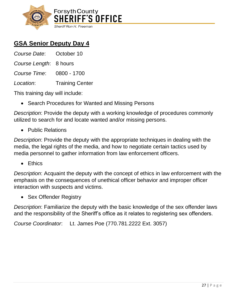

# <span id="page-26-0"></span>**GSA Senior Deputy Day 4**

| Course Date: October 10  |                        |
|--------------------------|------------------------|
| Course Length: 8 hours   |                        |
| Course Time: 0800 - 1700 |                        |
| Location:                | <b>Training Center</b> |

This training day will include:

• Search Procedures for Wanted and Missing Persons

*Description*: Provide the deputy with a working knowledge of procedures commonly utilized to search for and locate wanted and/or missing persons.

• Public Relations

*Description*: Provide the deputy with the appropriate techniques in dealing with the media, the legal rights of the media, and how to negotiate certain tactics used by media personnel to gather information from law enforcement officers.

• Ethics

*Description*: Acquaint the deputy with the concept of ethics in law enforcement with the emphasis on the consequences of unethical officer behavior and improper officer interaction with suspects and victims.

• Sex Offender Registry

*Description*: Familiarize the deputy with the basic knowledge of the sex offender laws and the responsibility of the Sheriff's office as it relates to registering sex offenders.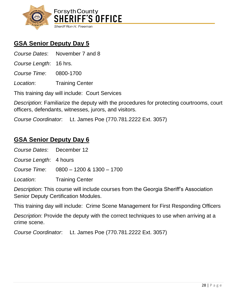

# <span id="page-27-0"></span>**GSA Senior Deputy Day 5**

*Course Dates*: November 7 and 8

*Course Length*: 16 hrs.

*Course Time*: 0800-1700

*Location*: Training Center

This training day will include: Court Services

*Description*: Familiarize the deputy with the procedures for protecting courtrooms, court officers, defendants, witnesses, jurors, and visitors.

*Course Coordinator*: Lt. James Poe (770.781.2222 Ext. 3057)

#### <span id="page-27-1"></span>**GSA Senior Deputy Day 6**

| Course Dates: December 12 |                                        |
|---------------------------|----------------------------------------|
| Course Length: 4 hours    |                                        |
|                           | Course Time: 0800 - 1200 & 1300 - 1700 |
| Location:                 | <b>Training Center</b>                 |
|                           |                                        |

*Description*: This course will include courses from the Georgia Sheriff's Association Senior Deputy Certification Modules.

This training day will include: Crime Scene Management for First Responding Officers

*Description*: Provide the deputy with the correct techniques to use when arriving at a crime scene.